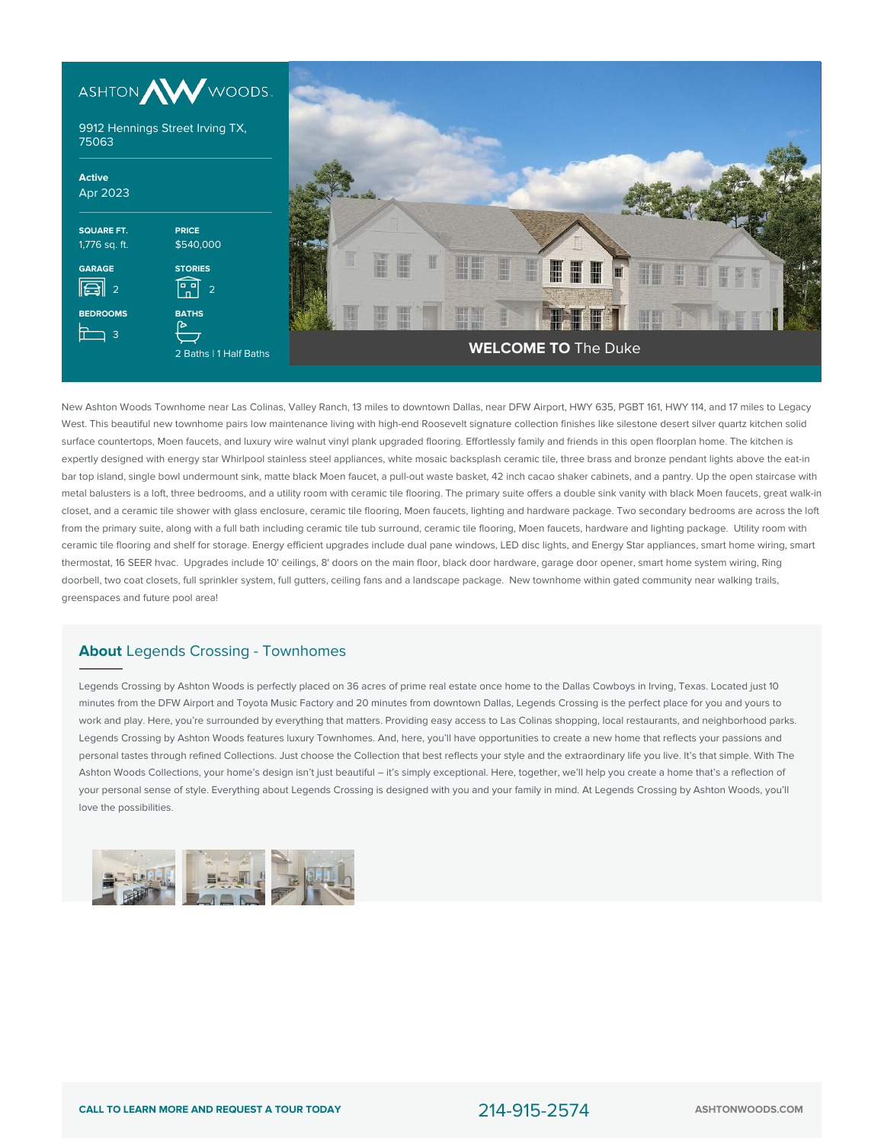



New Ashton Woods Townhome near Las Colinas, Valley Ranch, 13 miles to downtown Dallas, near DFW Airport, HWY 635, PGBT 161, HWY 114, and 17 miles to Legacy West. This beautiful new townhome pairs low maintenance living with high-end Roosevelt signature collection finishes like silestone desert silver quartz kitchen solid surface countertops, Moen faucets, and luxury wire walnut vinyl plank upgraded flooring. Effortlessly family and friends in this open floorplan home. The kitchen is expertly designed with energy star Whirlpool stainless steel appliances, white mosaic backsplash ceramic tile, three brass and bronze pendant lights above the eat-in bar top island, single bowl undermount sink, matte black Moen faucet, a pull-out waste basket, 42 inch cacao shaker cabinets, and a pantry. Up the open staircase with metal balusters is a loft, three bedrooms, and a utility room with ceramic tile flooring. The primary suite offers a double sink vanity with black Moen faucets, great walk-in closet, and a ceramic tile shower with glass enclosure, ceramic tile flooring, Moen faucets, lighting and hardware package. Two secondary bedrooms are across the loft from the primary suite, along with a full bath including ceramic tile tub surround, ceramic tile flooring, Moen faucets, hardware and lighting package. Utility room with ceramic tile flooring and shelf for storage. Energy efficient upgrades include dual pane windows, LED disc lights, and Energy Star appliances, smart home wiring, smart thermostat, 16 SEER hvac. Upgrades include 10' ceilings, 8' doors on the main floor, black door hardware, garage door opener, smart home system wiring, Ring doorbell, two coat closets, full sprinkler system, full gutters, ceiling fans and a landscape package. New townhome within gated community near walking trails, greenspaces and future pool area!

## **About** Legends Crossing - Townhomes

Legends Crossing by Ashton Woods is perfectly placed on 36 acres of prime real estate once home to the Dallas Cowboys in Irving, Texas. Located just 10 minutes from the DFW Airport and Toyota Music Factory and 20 minutes from downtown Dallas, Legends Crossing is the perfect place for you and yours to work and play. Here, you're surrounded by everything that matters. Providing easy access to Las Colinas shopping, local restaurants, and neighborhood parks. Legends Crossing by Ashton Woods features luxury Townhomes. And, here, you'll have opportunities to create a new home that reflects your passions and personal tastes through refined Collections. Just choose the Collection that best reflects your style and the extraordinary life you live. It's that simple. With The Ashton Woods Collections, your home's design isn't just beautiful – it's simply exceptional. Here, together, we'll help you create a home that's a reflection of your personal sense of style. Everything about Legends Crossing is designed with you and your family in mind. At Legends Crossing by Ashton Woods, you'll love the possibilities.

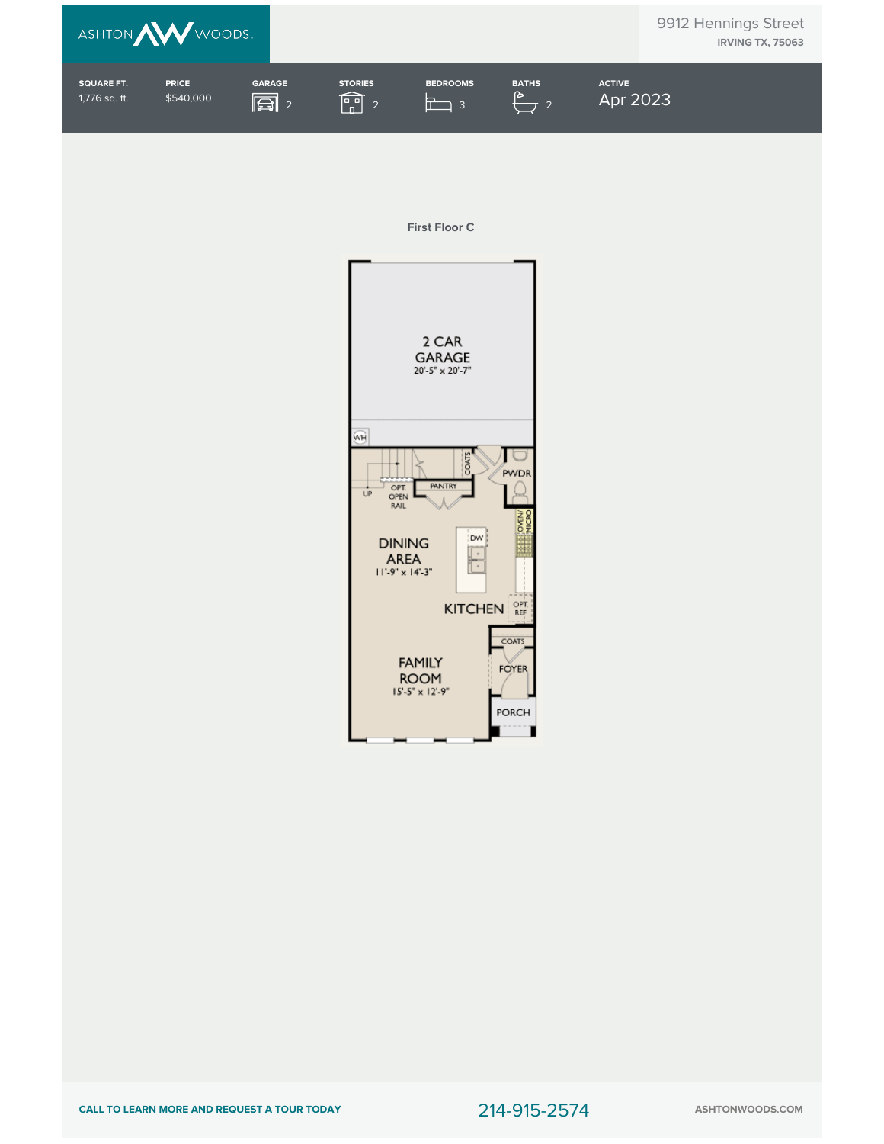

## **First Floor C**